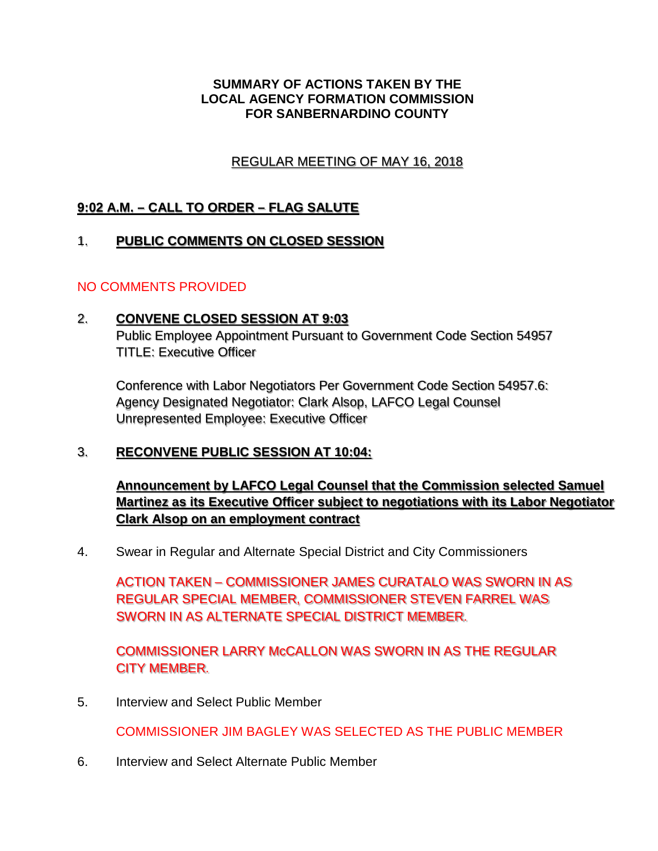### **SUMMARY OF ACTIONS TAKEN BY THE LOCAL AGENCY FORMATION COMMISSION FOR SANBERNARDINO COUNTY**

# REGULAR MEETING OF MAY 16, 2018 REGULAR MEETING OF MAY 16 2018

# **9:02 A.M. – CALL TO ORDER – FLAG SALUTE**

#### 1. **PUBLIC COMMENTS ON CLOSED SESSION PUBLIC COMMENTS ON CLOSED SESSION**  1.

## NO COMMENTS PROVIDED

#### 2. **CONVENE CLOSED SESSION AT 9:03 CONVENE C OSED SESSION AT 9·03**  2.

Public Employee Appointment Pursuant to Government Code Section 54957 Public Employee Appointment Pursuant to Government Code Section 54957 TITLE: Executive Officer TITLE: Executive Officer

Conference with Labor Negotiators Per Government Code Section 54957.6: Conference with Labor Negotiators Per Government Code Section 54957.6: Agency Designated Negotiator: Clark Alsop, LAFCO Legal Counsel Agency Designated Negotiator: Clark Alsop, LAFCO Legal Counsel Unrepresented Employee: Executive Officer Unrepresented Employee: Executive Officer

#### 3. **RECONVENE PUBLIC SESSION AT 10:04: RECONVENE PUBLIC SESSION AT 10·04:**  3.

**Announcement by LAFCO Legal Counsel that the Commission selected Samuel Announcement by LAFCO Legal Counsel that the Commission selected Samuel Martinez as its Executive Officer subject to negotiations with its Labor Negotiator Clark Alsop on an employment contract Clark Alson on an emolovment contract** 

4. Swear in Regular and Alternate Special District and City Commissioners

ACTION TAKEN – COMMISSIONER JAMES CURATALO WAS SWORN IN AS ACTION TAKEN - COMMISSIONER JAMES CURATALO WAS SWORN IN AS REGULAR SPECIAL MEMBER, COMMISSIONER STEVEN FARREL WAS REGULAR SPECIAL MEMBER, COMMISSIONER STEVEN FARREL WAS SWORN IN AS ALTERNATE SPECIAL DISTRICT MEMBER. SWORN IN AS ALTERNATE SPECIAL DISTRICT MEMBER.

COMMISSIONER LARRY McCALLON WAS SWORN IN AS THE REGULAR<br>CITY MEMBER. CITY MEMBER.

5. Interview and Select Public Member

COMMISSIONER JIM BAGLEY WAS SELECTED AS THE PUBLIC MEMBER

6. Interview and Select Alternate Public Member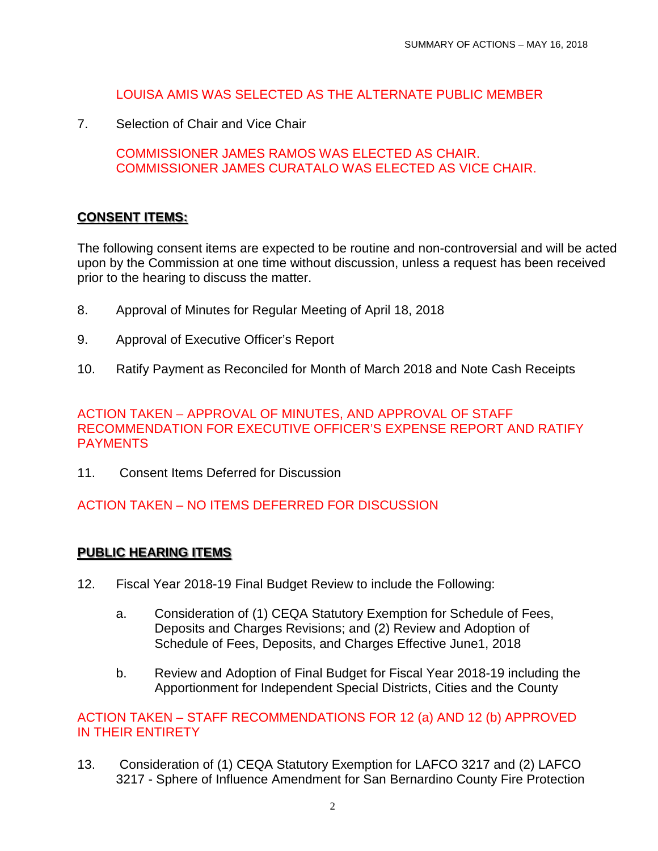## LOUISA AMIS WAS SELECTED AS THE ALTERNATE PUBLIC MEMBER

7. Selection of Chair and Vice Chair

COMMISSIONER JAMES RAMOS WAS ELECTED AS CHAIR. COMMISSIONER JAMES CURATALO WAS ELECTED AS VICE CHAIR.

# **CONSENT ITEMS:**  CONSENT ITEMS:

The following consent items are expected to be routine and non-controversial and will be acted upon by the Commission at one time without discussion, unless a request has been received prior to the hearing to discuss the matter.

- 8. Approval of Minutes for Regular Meeting of April 18, 2018
- 9. Approval of Executive Officer's Report
- 10. Ratify Payment as Reconciled for Month of March 2018 and Note Cash Receipts

### ACTION TAKEN – APPROVAL OF MINUTES, AND APPROVAL OF STAFF RECOMMENDATION FOR EXECUTIVE OFFICER'S EXPENSE REPORT AND RATIFY PAYMENTS

11. Consent Items Deferred for Discussion

# ACTION TAKEN – NO ITEMS DEFERRED FOR DISCUSSION

# <u>PUBLIC HEARING ITEMS</u>

- 12. Fiscal Year 2018-19 Final Budget Review to include the Following:
	- a. Consideration of (1) CEQA Statutory Exemption for Schedule of Fees, Deposits and Charges Revisions; and (2) Review and Adoption of Schedule of Fees, Deposits, and Charges Effective June1, 2018
	- b. Review and Adoption of Final Budget for Fiscal Year 2018-19 including the Apportionment for Independent Special Districts, Cities and the County

## ACTION TAKEN – STAFF RECOMMENDATIONS FOR 12 (a) AND 12 (b) APPROVED IN THEIR ENTIRETY

13. Consideration of (1) CEQA Statutory Exemption for LAFCO 3217 and (2) LAFCO 3217 - Sphere of Influence Amendment for San Bernardino County Fire Protection